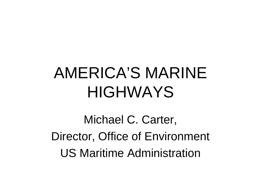### AMERICA'S MARINE HIGHWAYS

Michael C. Carter, Director, Office of Environment US Maritime Administration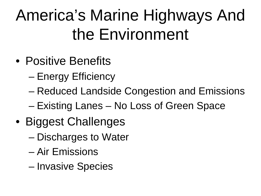# America's Marine Highways And the Environment

- Positive Benefits
	- Energy Efficiency
	- Reduced Landside Congestion and Emissions
	- Existing Lanes No Loss of Green Space
- Biggest Challenges
	- Discharges to Water
	- Air Emissions
	- Invasive Species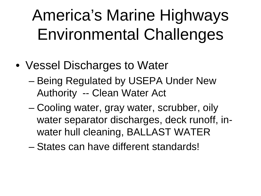# America's Marine Highways Environmental Challenges

- Vessel Discharges to Water
	- Being Regulated by USEPA Under New Authority -- Clean Water Act
	- Cooling water, gray water, scrubber, oily water separator discharges, deck runoff, inwater hull cleaning, BALLAST WATER
	- States can have different standards!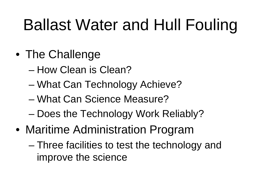# Ballast Water and Hull Fouling

- The Challenge
	- How Clean is Clean?
	- What Can Technology Achieve?
	- What Can Science Measure?
	- Does the Technology Work Reliably?
- Maritime Administration Program
	- Three facilities to test the technology and improve the science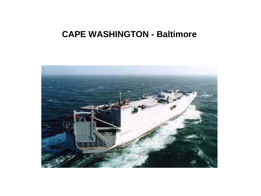#### **CAPE WASHINGTON - Baltimore**

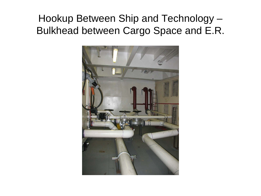#### Hookup Between Ship and Technology – Bulkhead between Cargo Space and E.R.

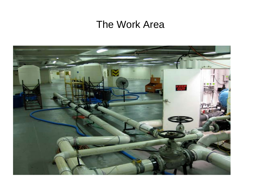#### The Work Area

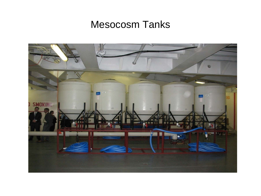#### Mesocosm Tanks

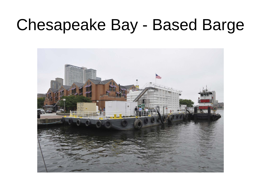### Chesapeake Bay - Based Barge

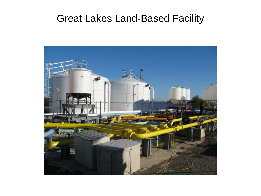#### Great Lakes Land-Based Facility

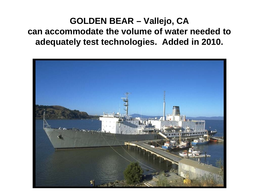#### **GOLDEN BEAR – Vallejo, CA can accommodate the volume of water needed to adequately test technologies. Added in 2010.**

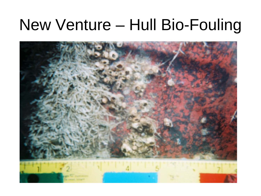### New Venture – Hull Bio-Fouling

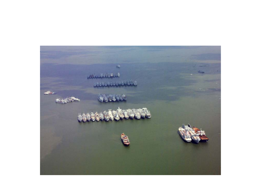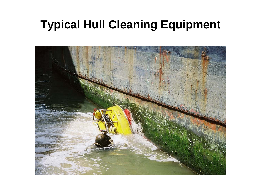### **Typical Hull Cleaning Equipment**

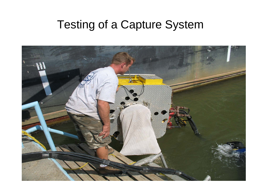### Testing of a Capture System

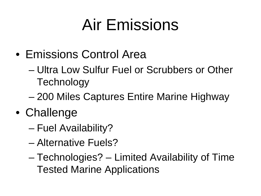## Air Emissions

- Emissions Control Area
	- Ultra Low Sulfur Fuel or Scrubbers or Other **Technology**
	- 200 Miles Captures Entire Marine Highway
- Challenge
	- Fuel Availability?
	- Alternative Fuels?
	- Technologies? Limited Availability of Time Tested Marine Applications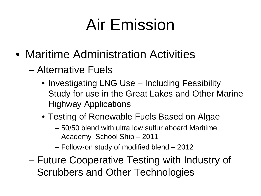## Air Emission

- Maritime Administration Activities
	- Alternative Fuels
		- Investigating LNG Use Including Feasibility Study for use in the Great Lakes and Other Marine Highway Applications
		- Testing of Renewable Fuels Based on Algae
			- 50/50 blend with ultra low sulfur aboard Maritime Academy School Ship – 2011
			- Follow-on study of modified blend 2012
	- Future Cooperative Testing with Industry of Scrubbers and Other Technologies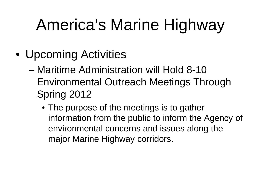# America's Marine Highway

- Upcoming Activities
	- Maritime Administration will Hold 8-10 Environmental Outreach Meetings Through Spring 2012
		- The purpose of the meetings is to gather information from the public to inform the Agency of environmental concerns and issues along the major Marine Highway corridors.